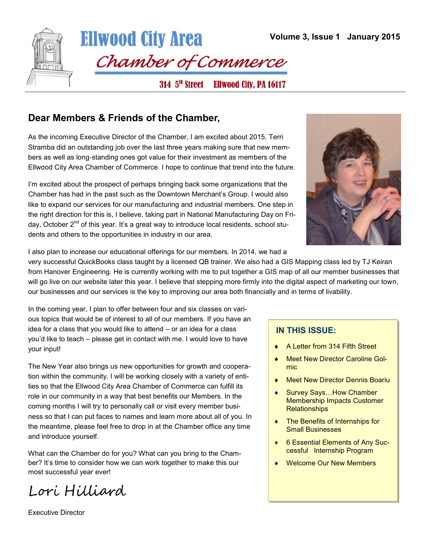

### **Dear Members & Friends of the Chamber,**

As the incoming Executive Director of the Chamber, I am excited about 2015. Terri Stramba did an outstanding job over the last three years making sure that new members as well as long-standing ones got value for their investment as members of the Ellwood City Area Chamber of Commerce. I hope to continue that trend into the future.

I'm excited about the prospect of perhaps bringing back some organizations that the Chamber has had in the past such as the Downtown Merchant's Group. I would also like to expand our services for our manufacturing and industrial members. One step in the right direction for this is, I believe, taking part in National Manufacturing Day on Friday, October 2<sup>nd</sup> of this year. It's a great way to introduce local residents, school students and others to the opportunities in industry in our area.



I also plan to increase our educational offerings for our members. In 2014, we had a

very successful QuickBooks class taught by a licensed QB trainer. We also had a GIS Mapping class led by TJ Keiran from Hanover Engineering. He is currently working with me to put together a GIS map of all our member businesses that will go live on our website later this year. I believe that stepping more firmly into the digital aspect of marketing our town, our businesses and our services is the key to improving our area both financially and in terms of livability.

In the coming year, I plan to offer between four and six classes on various topics that would be of interest to all of our members. If you have an idea for a class that you would like to attend – or an idea for a class you'd like to teach – please get in contact with me. I would love to have your input!

The New Year also brings us new opportunities for growth and cooperation within the community. I will be working closely with a variety of entities so that the Ellwood City Area Chamber of Commerce can fulfill its role in our community in a way that best benefits our Members. In the coming months I will try to personally call or visit every member business so that I can put faces to names and learn more about all of you. In the meantime, please feel free to drop in at the Chamber office any time and introduce yourself.

What can the Chamber do for you? What can you bring to the Chamber? It's time to consider how we can work together to make this our most successful year ever!

Lori Hilliard

#### **IN THIS ISSUE:**

- A Letter from 314 Fifth Street
- Meet New Director Caroline Golmic
- Meet New Director Dennis Boariu
- Survey Says…How Chamber Membership Impacts Customer **Relationships**
- The Benefits of Internships for Small Businesses
- ◆ 6 Essential Elements of Any Successful Internship Program
- ◆ Welcome Our New Members

Executive Director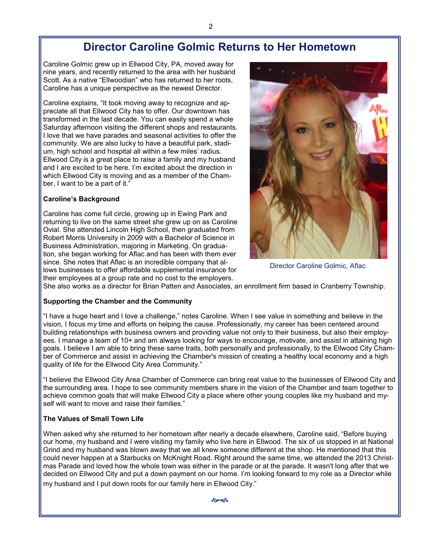# **Director Caroline Golmic Returns to Her Hometown**

Caroline Golmic grew up in Ellwood City, PA, moved away for nine years, and recently returned to the area with her husband Scott. As a native "Ellwoodian" who has returned to her roots, Caroline has a unique perspective as the newest Director.

Caroline explains, "It took moving away to recognize and appreciate all that Ellwood City has to offer. Our downtown has transformed in the last decade. You can easily spend a whole Saturday afternoon visiting the different shops and restaurants. I love that we have parades and seasonal activities to offer the community. We are also lucky to have a beautiful park, stadium, high school and hospital all within a few miles' radius. Ellwood City is a great place to raise a family and my husband and I are excited to be here. I'm excited about the direction in which Ellwood City is moving and as a member of the Chamber, I want to be a part of it."

#### **Caroline's Background**

Caroline has come full circle, growing up in Ewing Park and returning to live on the same street she grew up on as Caroline Ovial. She attended Lincoln High School, then graduated from Robert Morris University in 2009 with a Bachelor of Science in Business Administration, majoring in Marketing. On graduation, she began working for Aflac and has been with them ever since. She notes that Aflac is an incredible company that allows businesses to offer affordable supplemental insurance for their employees at a group rate and no cost to the employers.



Director Caroline Golmic, Aflac

She also works as a director for Brian Patten and Associates, an enrollment firm based in Cranberry Township.

#### **Supporting the Chamber and the Community**

"I have a huge heart and I love a challenge," notes Caroline. When I see value in something and believe in the vision, I focus my time and efforts on helping the cause. Professionally, my career has been centered around building relationships with business owners and providing value not only to their business, but also their employees. I manage a team of 10+ and am always looking for ways to encourage, motivate, and assist in attaining high goals. I believe I am able to bring these same traits, both personally and professionally, to the Ellwood City Chamber of Commerce and assist in achieving the Chamber's mission of creating a healthy local economy and a high quality of life for the Ellwood City Area Community."

"I believe the Ellwood City Area Chamber of Commerce can bring real value to the businesses of Ellwood City and the surrounding area. I hope to see community members share in the vision of the Chamber and team together to achieve common goals that will make Ellwood City a place where other young couples like my husband and myself will want to move and raise their families."

#### **The Values of Small Town Life**

When asked why she returned to her hometown after nearly a decade elsewhere, Caroline said, "Before buying our home, my husband and I were visiting my family who live here in Ellwood. The six of us stopped in at National Grind and my husband was blown away that we all knew someone different at the shop. He mentioned that this could never happen at a Starbucks on McKnight Road. Right around the same time, we attended the 2013 Christmas Parade and loved how the whole town was either in the parade or at the parade. It wasn't long after that we decided on Ellwood City and put a down payment on our home. I'm looking forward to my role as a Director while my husband and I put down roots for our family here in Ellwood City."

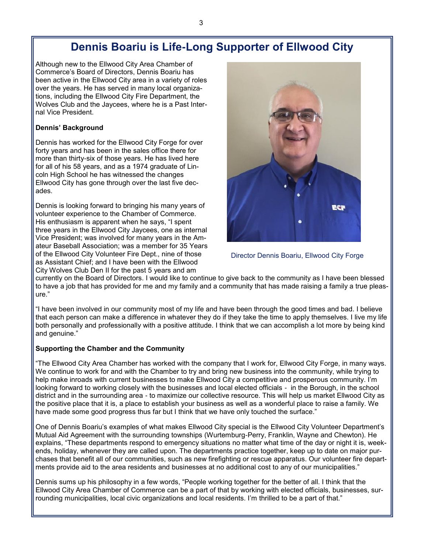# **Dennis Boariu is Life-Long Supporter of Ellwood City**

Although new to the Ellwood City Area Chamber of Commerce's Board of Directors, Dennis Boariu has been active in the Ellwood City area in a variety of roles over the years. He has served in many local organizations, including the Ellwood City Fire Department, the Wolves Club and the Jaycees, where he is a Past Internal Vice President.

#### **Dennis' Background**

Dennis has worked for the Ellwood City Forge for over forty years and has been in the sales office there for more than thirty-six of those years. He has lived here for all of his 58 years, and as a 1974 graduate of Lincoln High School he has witnessed the changes Ellwood City has gone through over the last five decades.

Dennis is looking forward to bringing his many years of volunteer experience to the Chamber of Commerce. His enthusiasm is apparent when he says, "I spent three years in the Ellwood City Jaycees, one as internal Vice President; was involved for many years in the Amateur Baseball Association; was a member for 35 Years of the Ellwood City Volunteer Fire Dept., nine of those as Assistant Chief; and I have been with the Ellwood City Wolves Club Den II for the past 5 years and am



Director Dennis Boariu, Ellwood City Forge

currently on the Board of Directors. I would like to continue to give back to the community as I have been blessed to have a job that has provided for me and my family and a community that has made raising a family a true pleasure."

"I have been involved in our community most of my life and have been through the good times and bad. I believe that each person can make a difference in whatever they do if they take the time to apply themselves. I live my life both personally and professionally with a positive attitude. I think that we can accomplish a lot more by being kind and genuine."

#### **Supporting the Chamber and the Community**

"The Ellwood City Area Chamber has worked with the company that I work for, Ellwood City Forge, in many ways. We continue to work for and with the Chamber to try and bring new business into the community, while trying to help make inroads with current businesses to make Ellwood City a competitive and prosperous community. I'm looking forward to working closely with the businesses and local elected officials - in the Borough, in the school district and in the surrounding area - to maximize our collective resource. This will help us market Ellwood City as the positive place that it is, a place to establish your business as well as a wonderful place to raise a family. We have made some good progress thus far but I think that we have only touched the surface."

One of Dennis Boariu's examples of what makes Ellwood City special is the Ellwood City Volunteer Department's Mutual Aid Agreement with the surrounding townships (Wurtemburg-Perry, Franklin, Wayne and Chewton). He explains, "These departments respond to emergency situations no matter what time of the day or night it is, weekends, holiday, whenever they are called upon. The departments practice together, keep up to date on major purchases that benefit all of our communities, such as new firefighting or rescue apparatus. Our volunteer fire departments provide aid to the area residents and businesses at no additional cost to any of our municipalities."

Dennis sums up his philosophy in a few words, "People working together for the better of all. I think that the Ellwood City Area Chamber of Commerce can be a part of that by working with elected officials, businesses, surrounding municipalities, local civic organizations and local residents. I'm thrilled to be a part of that."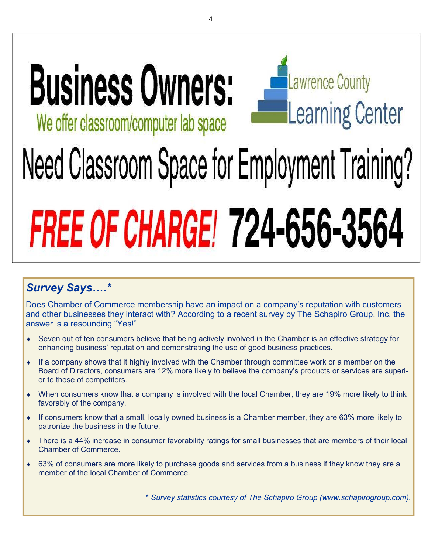# **Business Owners:** We offer classroom/computer lab space



# Need Classroom Space for Employment Training? **FREE OF CHARGE! 724-656-3564**

# *Survey Says….\**

Does Chamber of Commerce membership have an impact on a company's reputation with customers and other businesses they interact with? According to a recent survey by The Schapiro Group, Inc. the answer is a resounding "Yes!"

- Seven out of ten consumers believe that being actively involved in the Chamber is an effective strategy for enhancing business' reputation and demonstrating the use of good business practices.
- If a company shows that it highly involved with the Chamber through committee work or a member on the Board of Directors, consumers are 12% more likely to believe the company's products or services are superior to those of competitors.
- When consumers know that a company is involved with the local Chamber, they are 19% more likely to think favorably of the company.
- If consumers know that a small, locally owned business is a Chamber member, they are 63% more likely to patronize the business in the future.
- There is a 44% increase in consumer favorability ratings for small businesses that are members of their local Chamber of Commerce.
- 63% of consumers are more likely to purchase goods and services from a business if they know they are a member of the local Chamber of Commerce.

\* *Survey statistics courtesy of The Schapiro Group (www.schapirogroup.com).*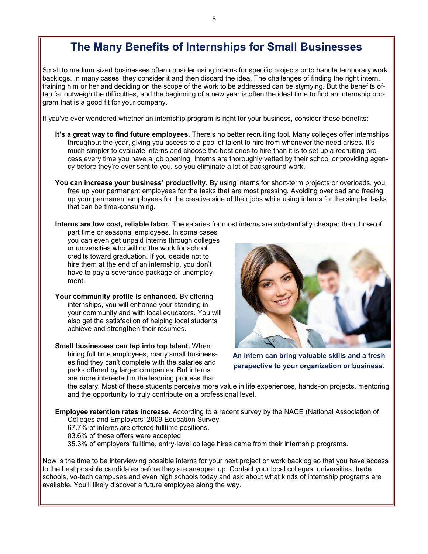# **The Many Benefits of Internships for Small Businesses**

Small to medium sized businesses often consider using interns for specific projects or to handle temporary work backlogs. In many cases, they consider it and then discard the idea. The challenges of finding the right intern, training him or her and deciding on the scope of the work to be addressed can be stymying. But the benefits often far outweigh the difficulties, and the beginning of a new year is often the ideal time to find an internship program that is a good fit for your company.

If you've ever wondered whether an internship program is right for your business, consider these benefits:

- **It's a great way to find future employees.** There's no better recruiting tool. Many colleges offer internships throughout the year, giving you access to a pool of talent to hire from whenever the need arises. It's much simpler to evaluate interns and choose the best ones to hire than it is to set up a recruiting process every time you have a job opening. Interns are thoroughly vetted by their school or providing agency before they're ever sent to you, so you eliminate a lot of background work.
- **You can increase your business' productivity.** By using interns for short-term projects or overloads, you free up your permanent employees for the tasks that are most pressing. Avoiding overload and freeing up your permanent employees for the creative side of their jobs while using interns for the simpler tasks that can be time-consuming.

**Interns are low cost, reliable labor.** The salaries for most interns are substantially cheaper than those of part time or seasonal employees. In some cases

you can even get unpaid interns through colleges or universities who will do the work for school credits toward graduation. If you decide not to hire them at the end of an internship, you don't have to pay a severance package or unemployment.

Your community profile is enhanced. By offering internships, you will enhance your standing in your community and with local educators. You will also get the satisfaction of helping local students achieve and strengthen their resumes.

**Small businesses can tap into top talent.** When hiring full time employees, many small businesses find they can't complete with the salaries and perks offered by larger companies. But interns are more interested in the learning process than



**An intern can bring valuable skills and a fresh perspective to your organization or business.**

the salary. Most of these students perceive more value in life experiences, hands-on projects, mentoring and the opportunity to truly contribute on a professional level.

**Employee retention rates increase.** According to a recent survey by the NACE (National Association of Colleges and Employers' 2009 Education Survey:

67.7% of interns are offered fulltime positions.

83.6% of these offers were accepted.

35.3% of employers' fulltime, entry-level college hires came from their internship programs.

Now is the time to be interviewing possible interns for your next project or work backlog so that you have access to the best possible candidates before they are snapped up. Contact your local colleges, universities, trade schools, vo-tech campuses and even high schools today and ask about what kinds of internship programs are available. You'll likely discover a future employee along the way.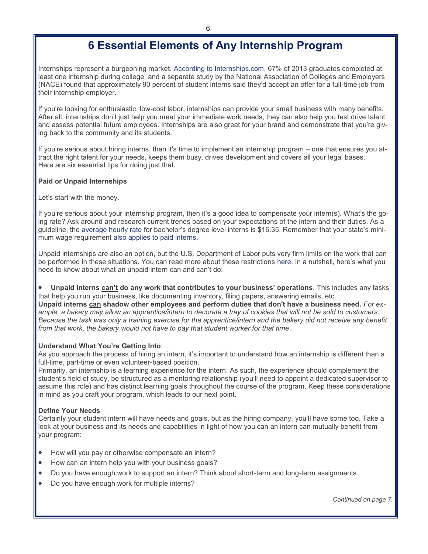# **6 Essential Elements of Any Internship Program**

Internships represent a burgeoning market. [According to Internships.com, 6](http://www.internships.com/about/news/internships-com-survey-reveals-companies-are-offering-more-summer-internships-in-2014)7% of 2013 graduates completed at least one internship during college, and a separate study by the National Association of Colleges and Employers (NACE) found that approximately 90 percent of student interns said they'd accept an offer for a full-time job from their internship employer.

If you're looking for enthusiastic, low-cost labor, internships can provide your small business with many benefits. After all, internships don't just help you meet your immediate work needs, they can also help you test drive talent and assess potential future employees. Internships are also great for your brand and demonstrate that you're giving back to the community and its students.

If you're serious about hiring interns, then it's time to implement an internship program – one that ensures you attract the right talent for your needs, keeps them busy, drives development and covers all your legal bases. Here are six essential tips for doing just that.

#### **Paid or Unpaid Internships**

Let's start with the money.

If you're serious about your internship program, then it's a good idea to compensate your intern(s). What's the going rate? Ask around and research current trends based on your expectations of the intern and their duties. As a guideline, the [average hourly rate](http://www.naceweb.org/s04022014/hourly-wages-interns-co-ops.aspx) for bachelor's degree level interns is \$16.35. Remember that your state's minimum wage requirement [also applies to paid interns.](http://www.paywizard.org/main/salary/minimum-wage/internships)

Unpaid internships are also an option, but the U.S. Department of Labor puts very firm limits on the work that can be performed in these situations. You can read more about these restrictions [here.](http://www.dol.gov/whd/regs/compliance/whdfs71.htm) In a nutshell, here's what you need to know about what an unpaid intern can and can't do:

 **Unpaid interns can't do any work that contributes to your business' operations***.* This includes any tasks that help you run your business, like documenting inventory, filing papers, answering emails, etc. **Unpaid interns can shadow other employees and perform duties that don't have a business need.** *For example, a bakery may allow an apprentice/intern to decorate a tray of cookies that will not be sold to customers. Because the task was only a training exercise for the apprentice/intern and the bakery did not receive any benefit from that work, the bakery would not have to pay that student worker for that time*.

#### **Understand What You're Getting Into**

As you approach the process of hiring an intern, it's important to understand how an internship is different than a full-time, part-time or even volunteer-based position.

Primarily, an internship is a learning experience for the intern. As such, the experience should complement the student's field of study, be structured as a mentoring relationship (you'll need to appoint a dedicated supervisor to assume this role) and has distinct learning goals throughout the course of the program. Keep these considerations in mind as you craft your program, which leads to our next point.

#### **Define Your Needs**

Certainly your student intern will have needs and goals, but as the hiring company, you'll have some too. Take a look at your business and its needs and capabilities in light of how you can an intern can mutually benefit from your program:

- How will you pay or otherwise compensate an intern?
- How can an intern help you with your business goals?
- Do you have enough work to support an intern? Think about short-term and long-term assignments.
- Do you have enough work for multiple interns?

*Continued on page 7.*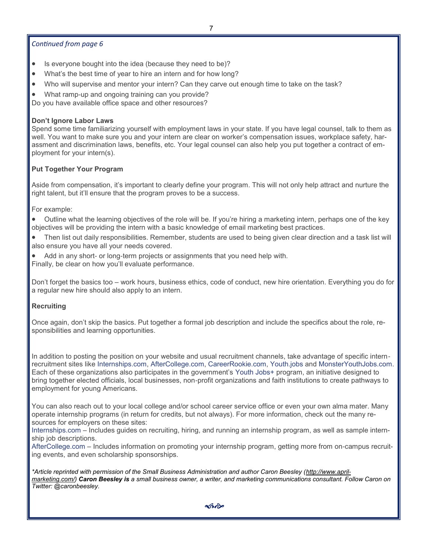7

#### *Continued from page 6*

- Is everyone bought into the idea (because they need to be)?
- What's the best time of year to hire an intern and for how long?
- Who will supervise and mentor your intern? Can they carve out enough time to take on the task?
- What ramp-up and ongoing training can you provide?

Do you have available office space and other resources?

#### **Don't Ignore Labor Laws**

Spend some time familiarizing yourself with employment laws in your state. If you have legal counsel, talk to them as well. You want to make sure you and your intern are clear on worker's compensation issues, workplace safety, harassment and discrimination laws, benefits, etc. Your legal counsel can also help you put together a contract of employment for your intern(s).

#### **Put Together Your Program**

Aside from compensation, it's important to clearly define your program. This will not only help attract and nurture the right talent, but it'll ensure that the program proves to be a success.

For example:

 Outline what the learning objectives of the role will be. If you're hiring a marketing intern, perhaps one of the key objectives will be providing the intern with a basic knowledge of email marketing best practices.

- Then list out daily responsibilities. Remember, students are used to being given clear direction and a task list will also ensure you have all your needs covered.
- Add in any short- or long-term projects or assignments that you need help with.

Finally, be clear on how you'll evaluate performance.

Don't forget the basics too – work hours, business ethics, code of conduct, new hire orientation. Everything you do for a regular new hire should also apply to an intern.

#### **Recruiting**

Once again, don't skip the basics. Put together a formal job description and include the specifics about the role, responsibilities and learning opportunities.

In addition to posting the position on your website and usual recruitment channels, take advantage of specific internrecruitment sites like [Internships.com,](http://www.internships.com/youthjobsplus) [AfterCollege.com,](http://www.aftercollege.com/content/youthjobsplus) [CareerRookie.com,](http://employer.careerrookie.com/CC/JobPoster/JPPage.aspx) [Youth.jobs](http://youth.jobs/) and [MonsterYouthJobs.com.](http://www.monsteryouthjobs.com/) Each of these organizations also participates in the government's [Youth Jobs+](http://www.whitehouse.gov/economy/jobs/youthjobs/) program, an initiative designed to bring together elected officials, local businesses, non-profit organizations and faith institutions to create pathways to employment for young Americans.

You can also reach out to your local college and/or school career service office or even your own alma mater. Many operate internship programs (in return for credits, but not always). For more information, check out the many resources for employers on these sites:

[Internships.com](http://www.internships.com/employer/resources) – Includes guides on recruiting, hiring, and running an internship program, as well as sample internship job descriptions.

[AfterCollege.com](https://www.aftercollege.com/employer/) – Includes information on promoting your internship program, getting more from on-campus recruiting events, and even scholarship sponsorships.

*\*Article reprinted with permission of the Small Business Administration and author Caron Beesley ([http://www.april](http://www.april-marketing.com/)[marketing.com/\)](http://www.april-marketing.com/) [Caron Beesley](https://www.sba.gov/blogs/contributors/Caron_Beesley) is a small business owner, a writer, and marketing communications consultant. Follow Caron on Twitter: @caronbeesley.* 

ക്കിക്ക